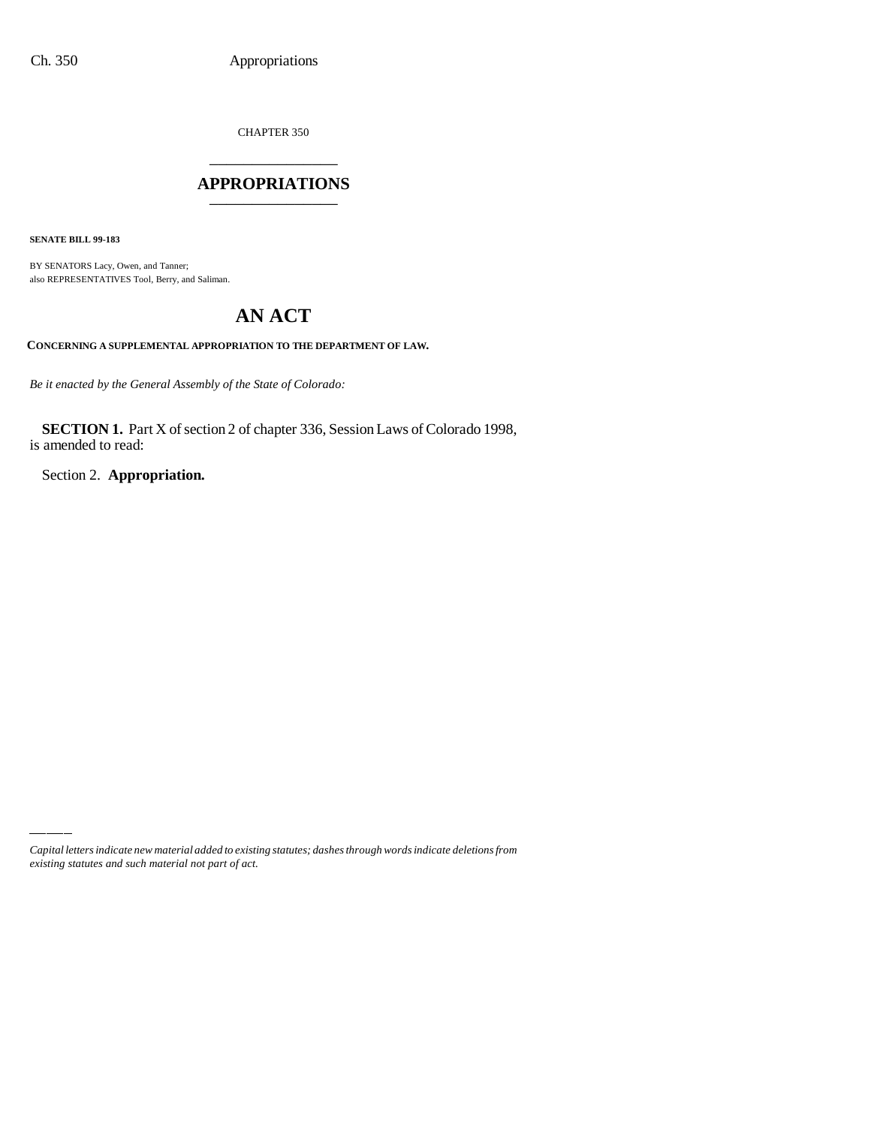CHAPTER 350

## \_\_\_\_\_\_\_\_\_\_\_\_\_\_\_ **APPROPRIATIONS** \_\_\_\_\_\_\_\_\_\_\_\_\_\_\_

**SENATE BILL 99-183**

BY SENATORS Lacy, Owen, and Tanner; also REPRESENTATIVES Tool, Berry, and Saliman.

# **AN ACT**

**CONCERNING A SUPPLEMENTAL APPROPRIATION TO THE DEPARTMENT OF LAW.**

*Be it enacted by the General Assembly of the State of Colorado:*

**SECTION 1.** Part X of section 2 of chapter 336, Session Laws of Colorado 1998, is amended to read:

Section 2. **Appropriation.**

*Capital letters indicate new material added to existing statutes; dashes through words indicate deletions from existing statutes and such material not part of act.*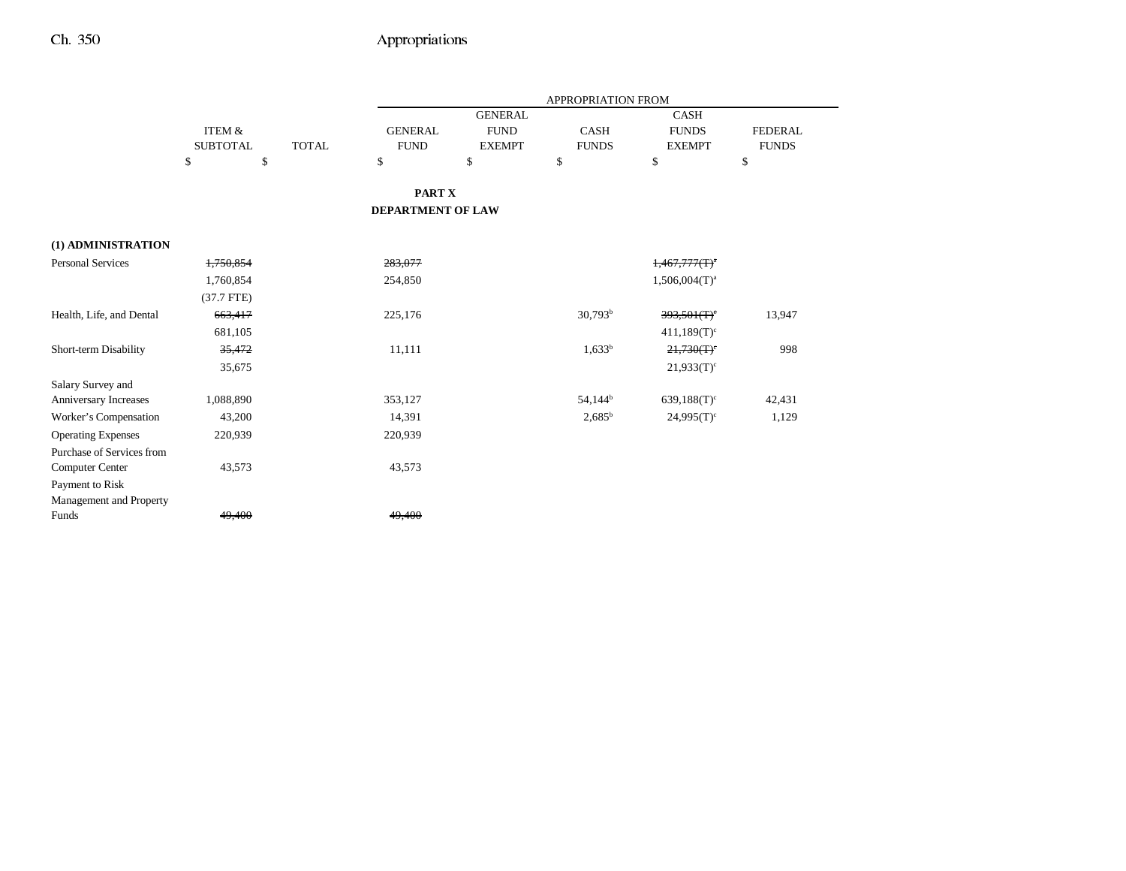|                              |                   |              |                          |                | APPROPRIATION FROM  |                  |                |
|------------------------------|-------------------|--------------|--------------------------|----------------|---------------------|------------------|----------------|
|                              |                   |              |                          | <b>GENERAL</b> |                     | <b>CASH</b>      |                |
|                              | <b>ITEM &amp;</b> |              | <b>GENERAL</b>           | <b>FUND</b>    | CASH                | <b>FUNDS</b>     | <b>FEDERAL</b> |
|                              | <b>SUBTOTAL</b>   | <b>TOTAL</b> | <b>FUND</b>              | <b>EXEMPT</b>  | <b>FUNDS</b>        | <b>EXEMPT</b>    | <b>FUNDS</b>   |
|                              | \$<br>\$          |              | \$                       | \$             | \$                  | \$               | \$             |
|                              |                   |              | PART X                   |                |                     |                  |                |
|                              |                   |              | <b>DEPARTMENT OF LAW</b> |                |                     |                  |                |
| (1) ADMINISTRATION           |                   |              |                          |                |                     |                  |                |
| <b>Personal Services</b>     | 1,750,854         |              | 283,077                  |                |                     | $1,467,777(T)^4$ |                |
|                              | 1,760,854         |              | 254,850                  |                |                     | $1,506,004(T)^a$ |                |
|                              | $(37.7$ FTE)      |              |                          |                |                     |                  |                |
| Health, Life, and Dental     | 663,417           |              | 225,176                  |                | $30,793^b$          | 393,501(T)       | 13,947         |
|                              | 681,105           |              |                          |                |                     | $411,189(T)^c$   |                |
| Short-term Disability        | 35,472            |              | 11,111                   |                | $1,633^b$           | 21,730(T)        | 998            |
|                              | 35,675            |              |                          |                |                     | $21,933(T)^c$    |                |
| Salary Survey and            |                   |              |                          |                |                     |                  |                |
| <b>Anniversary Increases</b> | 1,088,890         |              | 353,127                  |                | 54,144 <sup>b</sup> | $639,188(T)^c$   | 42,431         |
| Worker's Compensation        | 43,200            |              | 14,391                   |                | $2,685^{\rm b}$     | $24.995(T)^c$    | 1,129          |
| <b>Operating Expenses</b>    | 220,939           |              | 220,939                  |                |                     |                  |                |
| Purchase of Services from    |                   |              |                          |                |                     |                  |                |
| <b>Computer Center</b>       | 43,573            |              | 43,573                   |                |                     |                  |                |
| Payment to Risk              |                   |              |                          |                |                     |                  |                |
| Management and Property      |                   |              |                          |                |                     |                  |                |
| Funds                        | 49,400            |              | 49,400                   |                |                     |                  |                |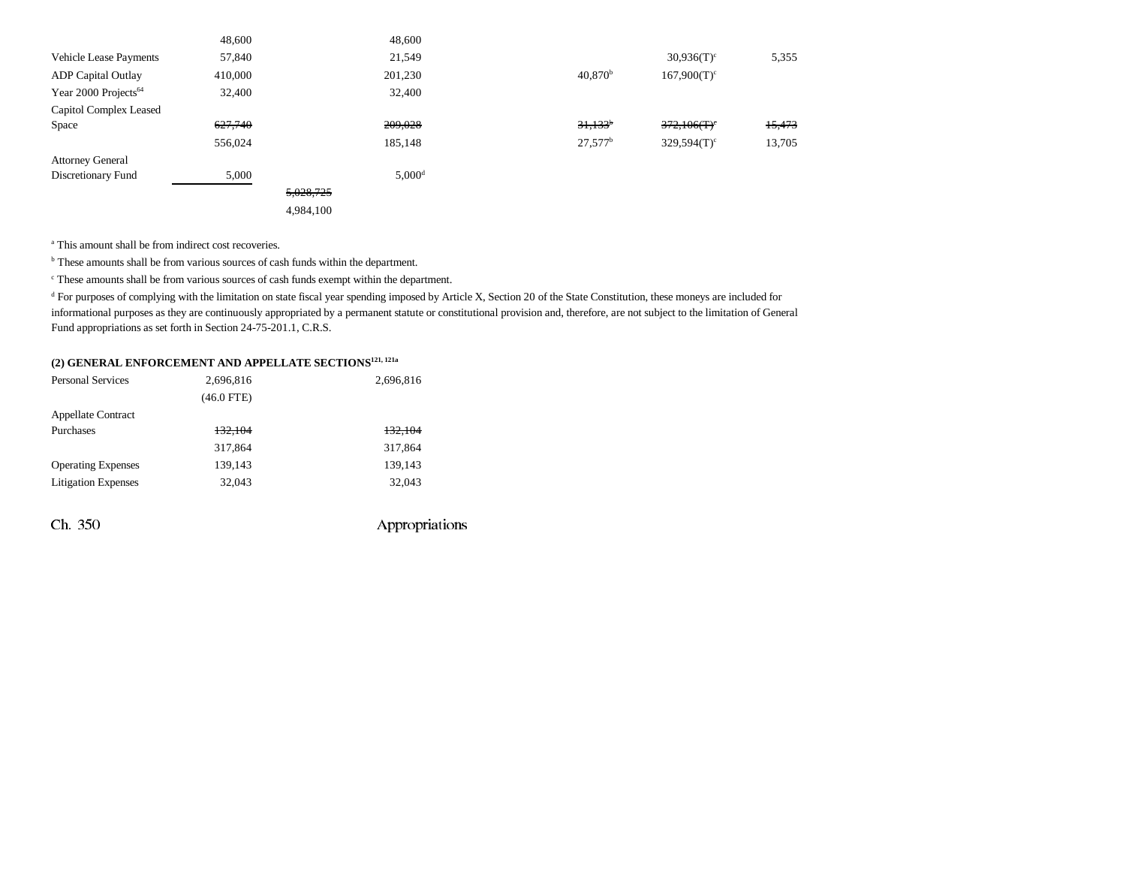|                                               | 48,600  |           | 48,600               |                       |                           |        |
|-----------------------------------------------|---------|-----------|----------------------|-----------------------|---------------------------|--------|
| <b>Vehicle Lease Payments</b>                 | 57,840  |           | 21,549               |                       | $30,936(T)^c$             | 5,355  |
| <b>ADP</b> Capital Outlay                     | 410,000 |           | 201,230              | $40,870^{\rm b}$      | $167,900(T)^c$            |        |
| Year 2000 Projects <sup><math>64</math></sup> | 32,400  |           | 32,400               |                       |                           |        |
| Capitol Complex Leased                        |         |           |                      |                       |                           |        |
| Space                                         | 627,740 |           | 209,028              | $31.133$ <sup>b</sup> | 372,106(T)                | 15,473 |
|                                               | 556,024 |           | 185,148              | $27.577^b$            | $329,594(T)$ <sup>c</sup> | 13,705 |
| <b>Attorney General</b>                       |         |           |                      |                       |                           |        |
| Discretionary Fund                            | 5,000   |           | $5,000$ <sup>d</sup> |                       |                           |        |
|                                               |         | 5,028,725 |                      |                       |                           |        |
|                                               |         | 4,984,100 |                      |                       |                           |        |

<sup>a</sup> This amount shall be from indirect cost recoveries.

b These amounts shall be from various sources of cash funds within the department.

c These amounts shall be from various sources of cash funds exempt within the department.

<sup>d</sup> For purposes of complying with the limitation on state fiscal year spending imposed by Article X, Section 20 of the State Constitution, these moneys are included for informational purposes as they are continuously appropriated by a permanent statute or constitutional provision and, therefore, are not subject to the limitation of General Fund appropriations as set forth in Section 24-75-201.1, C.R.S.

### **(2) GENERAL ENFORCEMENT AND APPELLATE SECTIONS121, 121a**

| 2,696,816    | 2,696,816 |
|--------------|-----------|
| $(46.0$ FTE) |           |
|              |           |
| 132.104      | 132,104   |
| 317,864      | 317,864   |
| 139,143      | 139,143   |
| 32.043       | 32,043    |
|              |           |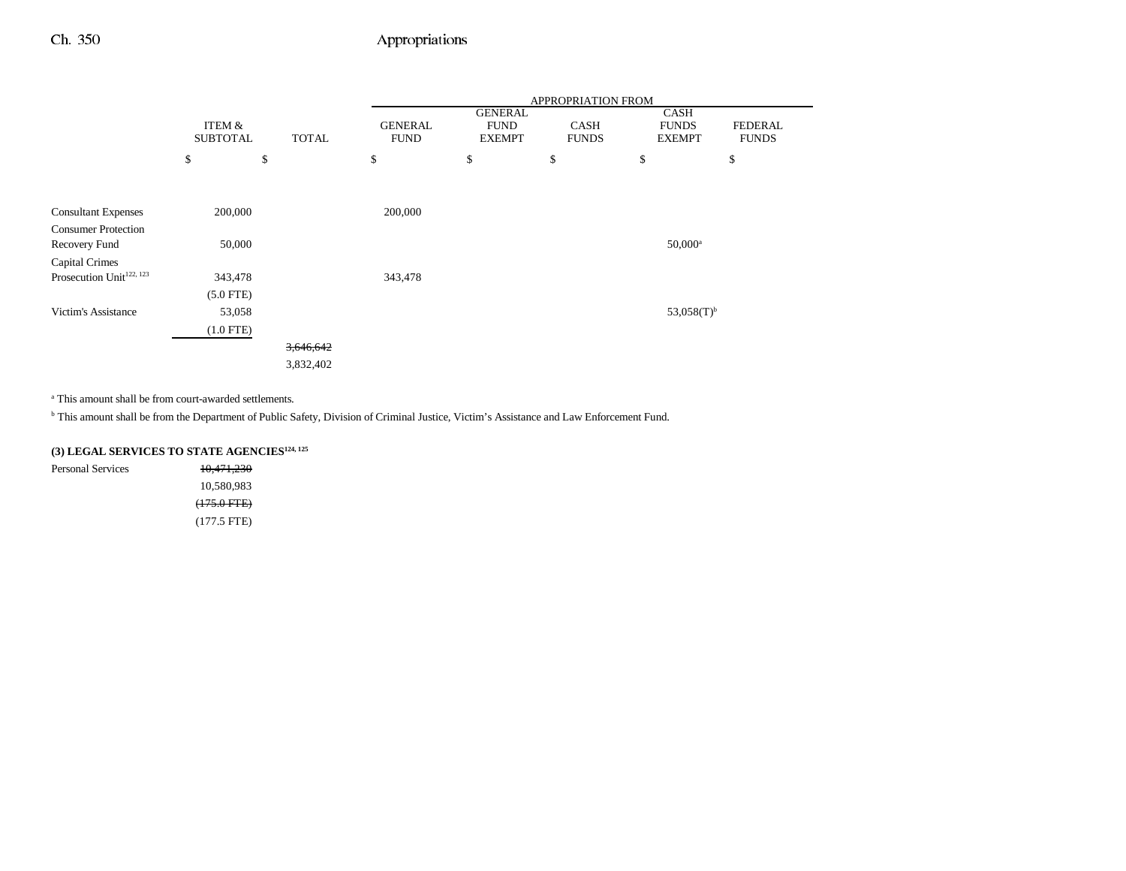|                                      |                 |              | <b>APPROPRIATION FROM</b> |                               |              |                      |                |
|--------------------------------------|-----------------|--------------|---------------------------|-------------------------------|--------------|----------------------|----------------|
|                                      | ITEM &          |              | <b>GENERAL</b>            | <b>GENERAL</b><br><b>FUND</b> | <b>CASH</b>  | CASH<br><b>FUNDS</b> | <b>FEDERAL</b> |
|                                      | <b>SUBTOTAL</b> | <b>TOTAL</b> | <b>FUND</b>               | <b>EXEMPT</b>                 | <b>FUNDS</b> | <b>EXEMPT</b>        | <b>FUNDS</b>   |
|                                      | \$              | \$           | \$                        | \$                            | \$           | \$                   | \$             |
|                                      |                 |              |                           |                               |              |                      |                |
| <b>Consultant Expenses</b>           | 200,000         |              | 200,000                   |                               |              |                      |                |
| <b>Consumer Protection</b>           |                 |              |                           |                               |              |                      |                |
| Recovery Fund                        | 50,000          |              |                           |                               |              | $50,000^{\rm a}$     |                |
| Capital Crimes                       |                 |              |                           |                               |              |                      |                |
| Prosecution Unit <sup>122, 123</sup> | 343,478         |              | 343,478                   |                               |              |                      |                |
|                                      | $(5.0$ FTE)     |              |                           |                               |              |                      |                |
| <b>Victim's Assistance</b>           | 53,058          |              |                           |                               |              | 53,058 $(T)^{b}$     |                |
|                                      | $(1.0$ FTE)     |              |                           |                               |              |                      |                |
|                                      |                 | 3,646,642    |                           |                               |              |                      |                |
|                                      |                 | 3,832,402    |                           |                               |              |                      |                |

a This amount shall be from court-awarded settlements.

<sup>b</sup> This amount shall be from the Department of Public Safety, Division of Criminal Justice, Victim's Assistance and Law Enforcement Fund.

**(3) LEGAL SERVICES TO STATE AGENCIES124, 125**

Personal Services 10,471,230 10,580,983 (175.0 FTE) (177.5 FTE)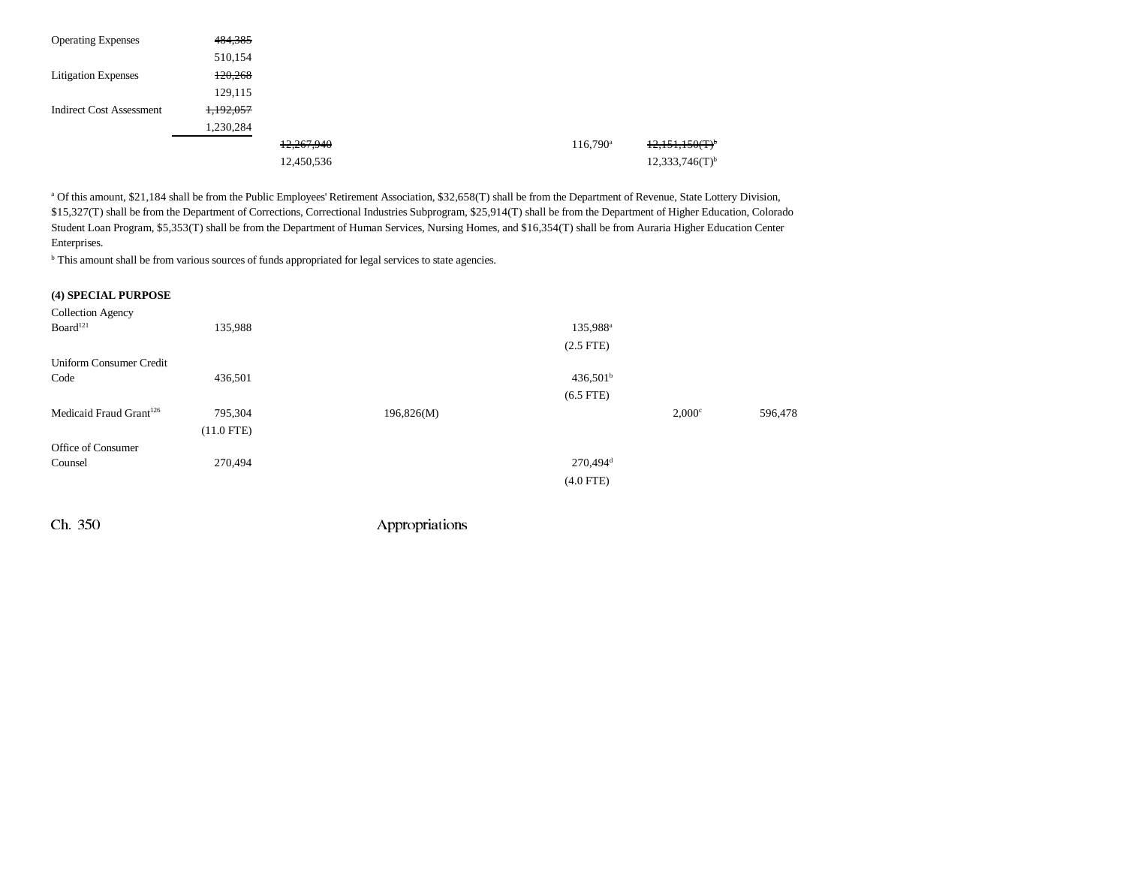| <b>Operating Expenses</b>       | 484,385   |            |  |                   |                              |
|---------------------------------|-----------|------------|--|-------------------|------------------------------|
|                                 | 510,154   |            |  |                   |                              |
| <b>Litigation Expenses</b>      | 120,268   |            |  |                   |                              |
|                                 | 129,115   |            |  |                   |                              |
| <b>Indirect Cost Assessment</b> | 1,192,057 |            |  |                   |                              |
|                                 | 1,230,284 |            |  |                   |                              |
|                                 |           | 12,267,940 |  | $116,790^{\circ}$ | $12,151,150(T)^6$            |
|                                 |           | 12,450,536 |  |                   | $12,333,746(T)$ <sup>b</sup> |

a Of this amount, \$21,184 shall be from the Public Employees' Retirement Association, \$32,658(T) shall be from the Department of Revenue, State Lottery Division, \$15,327(T) shall be from the Department of Corrections, Correctional Industries Subprogram, \$25,914(T) shall be from the Department of Higher Education, Colorado Student Loan Program, \$5,353(T) shall be from the Department of Human Services, Nursing Homes, and \$16,354(T) shall be from Auraria Higher Education Center Enterprises.

<sup>b</sup> This amount shall be from various sources of funds appropriated for legal services to state agencies.

#### **(4) SPECIAL PURPOSE**

| <b>Collection Agency</b>            |              |            |                          |  |
|-------------------------------------|--------------|------------|--------------------------|--|
| Board <sup>121</sup>                | 135,988      |            | 135,988 <sup>a</sup>     |  |
|                                     |              |            | $(2.5$ FTE $)$           |  |
| <b>Uniform Consumer Credit</b>      |              |            |                          |  |
| Code                                | 436,501      |            | $436,501^{\rm b}$        |  |
|                                     |              |            | $(6.5$ FTE)              |  |
| Medicaid Fraud Grant <sup>126</sup> | 795,304      | 196,826(M) | $2,000^\circ$<br>596,478 |  |
|                                     | $(11.0$ FTE) |            |                          |  |
| Office of Consumer                  |              |            |                          |  |
| Counsel                             | 270,494      |            | $270,494$ <sup>d</sup>   |  |
|                                     |              |            | $(4.0$ FTE)              |  |
|                                     |              |            |                          |  |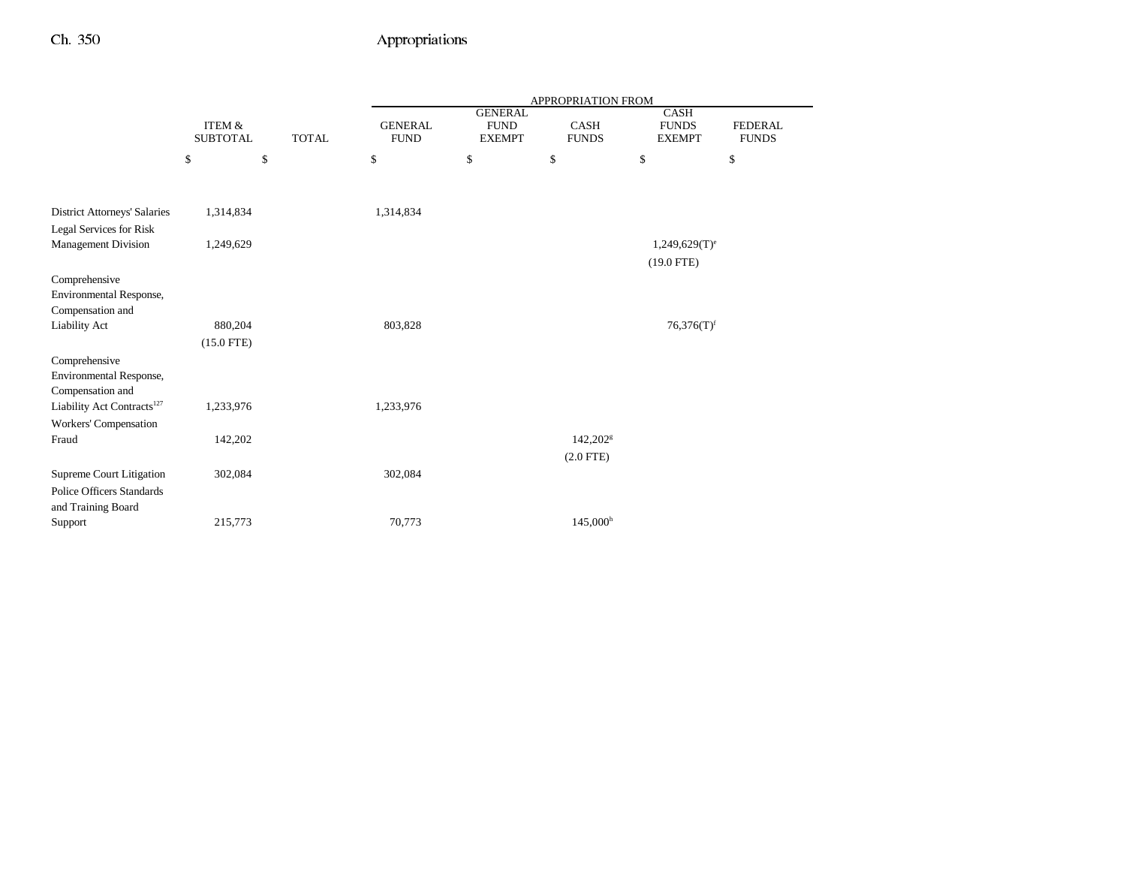|                                        |                                      |              |                               |                                                | APPROPRIATION FROM          |                                              |                                |
|----------------------------------------|--------------------------------------|--------------|-------------------------------|------------------------------------------------|-----------------------------|----------------------------------------------|--------------------------------|
|                                        | <b>ITEM &amp;</b><br><b>SUBTOTAL</b> | <b>TOTAL</b> | <b>GENERAL</b><br><b>FUND</b> | <b>GENERAL</b><br><b>FUND</b><br><b>EXEMPT</b> | <b>CASH</b><br><b>FUNDS</b> | <b>CASH</b><br><b>FUNDS</b><br><b>EXEMPT</b> | <b>FEDERAL</b><br><b>FUNDS</b> |
|                                        | \$                                   | \$           | \$                            | \$                                             | \$                          | \$                                           | \$                             |
|                                        |                                      |              |                               |                                                |                             |                                              |                                |
| <b>District Attorneys' Salaries</b>    | 1,314,834                            |              | 1,314,834                     |                                                |                             |                                              |                                |
| Legal Services for Risk                |                                      |              |                               |                                                |                             |                                              |                                |
| <b>Management Division</b>             | 1,249,629                            |              |                               |                                                |                             | $1,249,629(T)$ <sup>e</sup>                  |                                |
|                                        |                                      |              |                               |                                                |                             | $(19.0$ FTE)                                 |                                |
| Comprehensive                          |                                      |              |                               |                                                |                             |                                              |                                |
| Environmental Response,                |                                      |              |                               |                                                |                             |                                              |                                |
| Compensation and                       |                                      |              |                               |                                                |                             |                                              |                                |
| Liability Act                          | 880,204                              |              | 803,828                       |                                                |                             | $76,376(T)$ <sup>f</sup>                     |                                |
|                                        | $(15.0$ FTE)                         |              |                               |                                                |                             |                                              |                                |
| Comprehensive                          |                                      |              |                               |                                                |                             |                                              |                                |
| Environmental Response,                |                                      |              |                               |                                                |                             |                                              |                                |
| Compensation and                       |                                      |              |                               |                                                |                             |                                              |                                |
| Liability Act Contracts <sup>127</sup> | 1,233,976                            |              | 1,233,976                     |                                                |                             |                                              |                                |
| Workers' Compensation                  |                                      |              |                               |                                                |                             |                                              |                                |
| Fraud                                  | 142,202                              |              |                               |                                                | $142,202$ <sup>g</sup>      |                                              |                                |
|                                        |                                      |              |                               |                                                | $(2.0$ FTE $)$              |                                              |                                |
| Supreme Court Litigation               | 302,084                              |              | 302,084                       |                                                |                             |                                              |                                |
| <b>Police Officers Standards</b>       |                                      |              |                               |                                                |                             |                                              |                                |
| and Training Board                     |                                      |              |                               |                                                |                             |                                              |                                |
| Support                                | 215,773                              |              | 70,773                        |                                                | $145,000^{\rm h}$           |                                              |                                |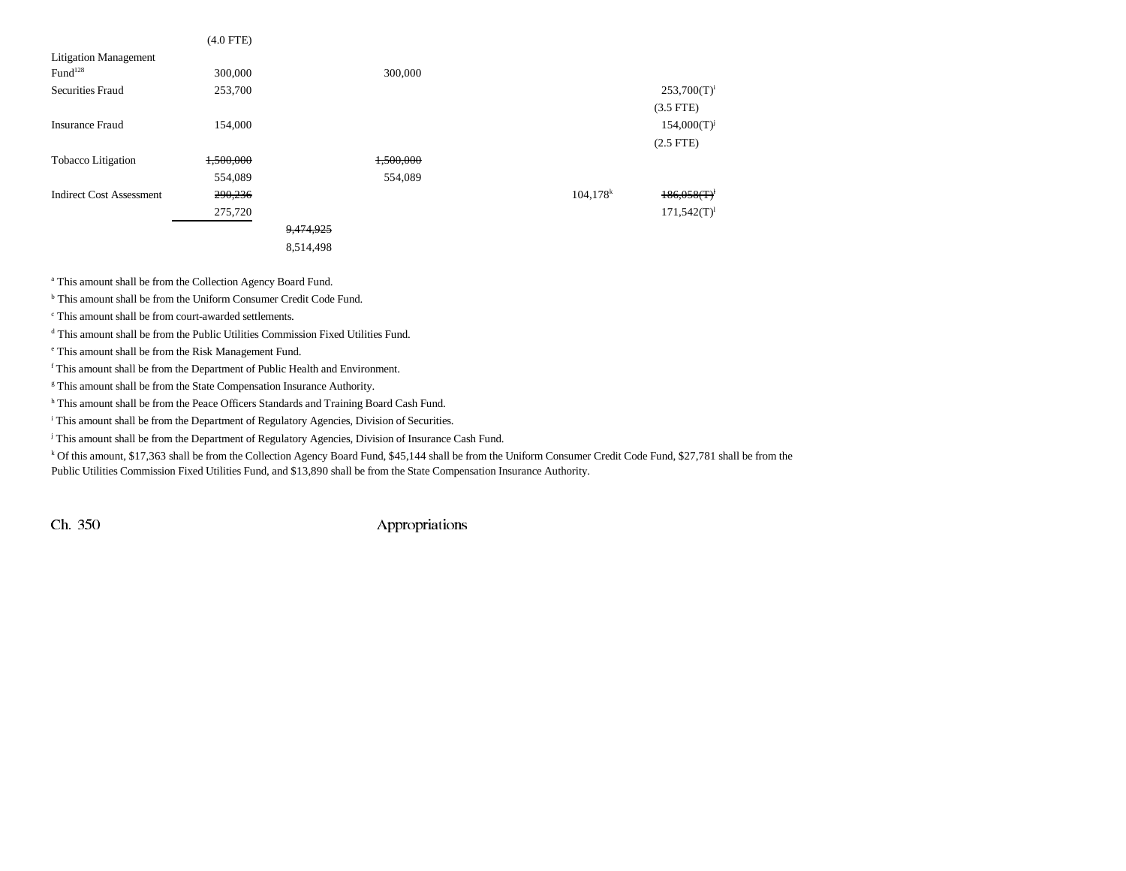|                                 | $(4.0$ FTE) |           |           |                        |                  |
|---------------------------------|-------------|-----------|-----------|------------------------|------------------|
| <b>Litigation Management</b>    |             |           |           |                        |                  |
| Fund <sup>128</sup>             | 300,000     |           | 300,000   |                        |                  |
| <b>Securities Fraud</b>         | 253,700     |           |           |                        | $253,700(T)^{i}$ |
|                                 |             |           |           |                        | $(3.5$ FTE)      |
| <b>Insurance Fraud</b>          | 154,000     |           |           |                        | $154,000(T)^{j}$ |
|                                 |             |           |           |                        | $(2.5$ FTE)      |
| <b>Tobacco Litigation</b>       | 1,500,000   |           | 1,500,000 |                        |                  |
|                                 | 554,089     |           | 554,089   |                        |                  |
| <b>Indirect Cost Assessment</b> | 290,236     |           |           | $104,178$ <sup>k</sup> | 186,058(T)       |
|                                 | 275,720     |           |           |                        | $171,542(T)^1$   |
|                                 |             | 9,474,925 |           |                        |                  |
|                                 |             | 8,514,498 |           |                        |                  |

a This amount shall be from the Collection Agency Board Fund.

b This amount shall be from the Uniform Consumer Credit Code Fund.

c This amount shall be from court-awarded settlements.

d This amount shall be from the Public Utilities Commission Fixed Utilities Fund.

e This amount shall be from the Risk Management Fund.

f This amount shall be from the Department of Public Health and Environment.

<sup>g</sup> This amount shall be from the State Compensation Insurance Authority.

h This amount shall be from the Peace Officers Standards and Training Board Cash Fund.

<sup>i</sup> This amount shall be from the Department of Regulatory Agencies, Division of Securities.

<sup>j</sup> This amount shall be from the Department of Regulatory Agencies, Division of Insurance Cash Fund.

k Of this amount, \$17,363 shall be from the Collection Agency Board Fund, \$45,144 shall be from the Uniform Consumer Credit Code Fund, \$27,781 shall be from the

Public Utilities Commission Fixed Utilities Fund, and \$13,890 shall be from the State Compensation Insurance Authority.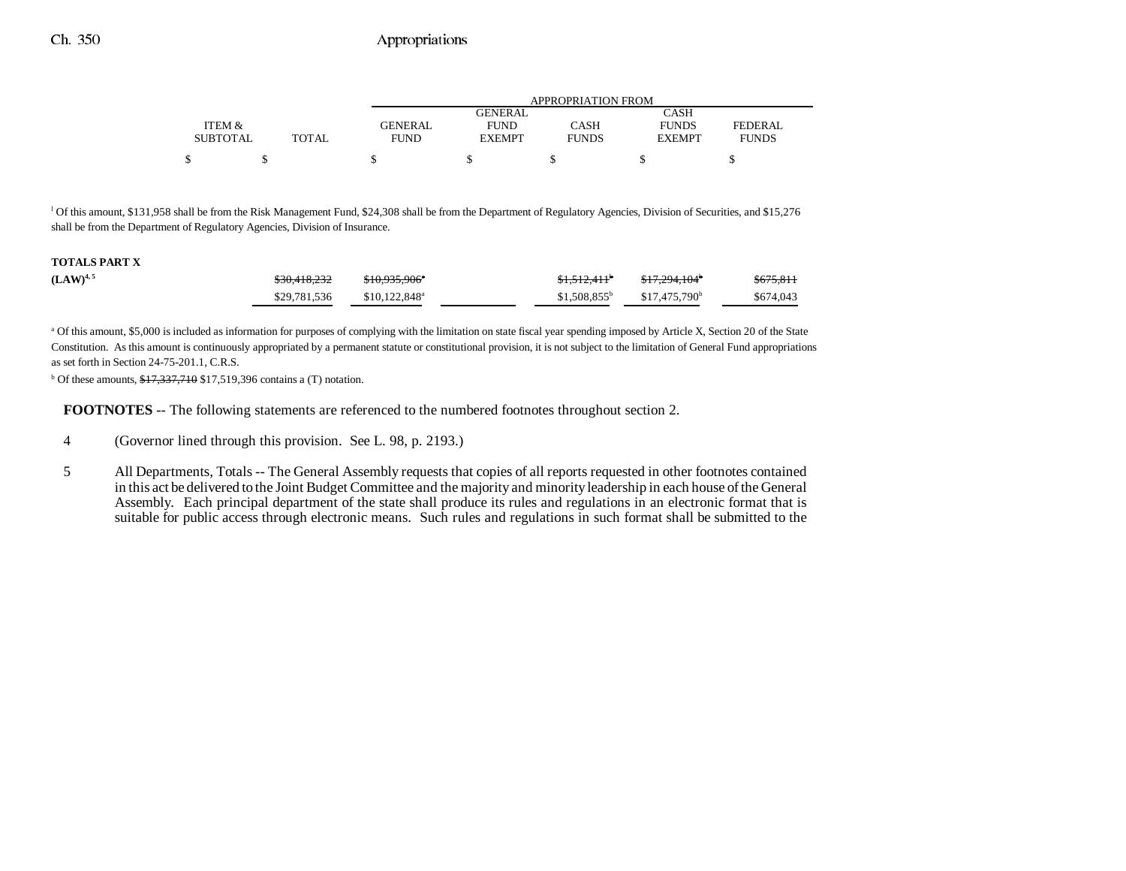|                 |       |                | APPROPRIATION FROM |              |               |              |  |  |  |  |
|-----------------|-------|----------------|--------------------|--------------|---------------|--------------|--|--|--|--|
|                 |       |                | <b>GENERAL</b>     |              | CASH          |              |  |  |  |  |
| ITEM &          |       | <b>GENERAL</b> | <b>FUND</b>        | CASH         | <b>FUNDS</b>  | FEDERAL      |  |  |  |  |
| <b>SUBTOTAL</b> | TOTAL | <b>FUND</b>    | <b>EXEMPT</b>      | <b>FUNDS</b> | <b>EXEMPT</b> | <b>FUNDS</b> |  |  |  |  |
|                 |       |                |                    |              |               |              |  |  |  |  |

l Of this amount, \$131,958 shall be from the Risk Management Fund, \$24,308 shall be from the Department of Regulatory Agencies, Division of Securities, and \$15,276 shall be from the Department of Regulatory Agencies, Division of Insurance.

#### **TOTALS PART X**

| $(LAW)^{4,5}$ | \$30.418.232 | <del>\$10,935,906°</del>   | <del>\$1.512.411</del> | <del>\$17.294.104</del> * | \$675,811 |
|---------------|--------------|----------------------------|------------------------|---------------------------|-----------|
|               | \$29,781,536 | $$10,122,848$ <sup>a</sup> | $$1.508.855^b$         | \$17,475,790 <sup>b</sup> | \$674,043 |

<sup>a</sup> Of this amount, \$5,000 is included as information for purposes of complying with the limitation on state fiscal year spending imposed by Article X, Section 20 of the State Constitution. As this amount is continuously appropriated by a permanent statute or constitutional provision, it is not subject to the limitation of General Fund appropriations as set forth in Section 24-75-201.1, C.R.S.

 $b$  Of these amounts,  $$17,337,710$  \$17,519,396 contains a (T) notation.

**FOOTNOTES** -- The following statements are referenced to the numbered footnotes throughout section 2.

- 4 (Governor lined through this provision. See L. 98, p. 2193.)
- 5 All Departments, Totals -- The General Assembly requests that copies of all reports requested in other footnotes contained in this act be delivered to the Joint Budget Committee and the majority and minority leadership in each house of the General Assembly. Each principal department of the state shall produce its rules and regulations in an electronic format that is suitable for public access through electronic means. Such rules and regulations in such format shall be submitted to the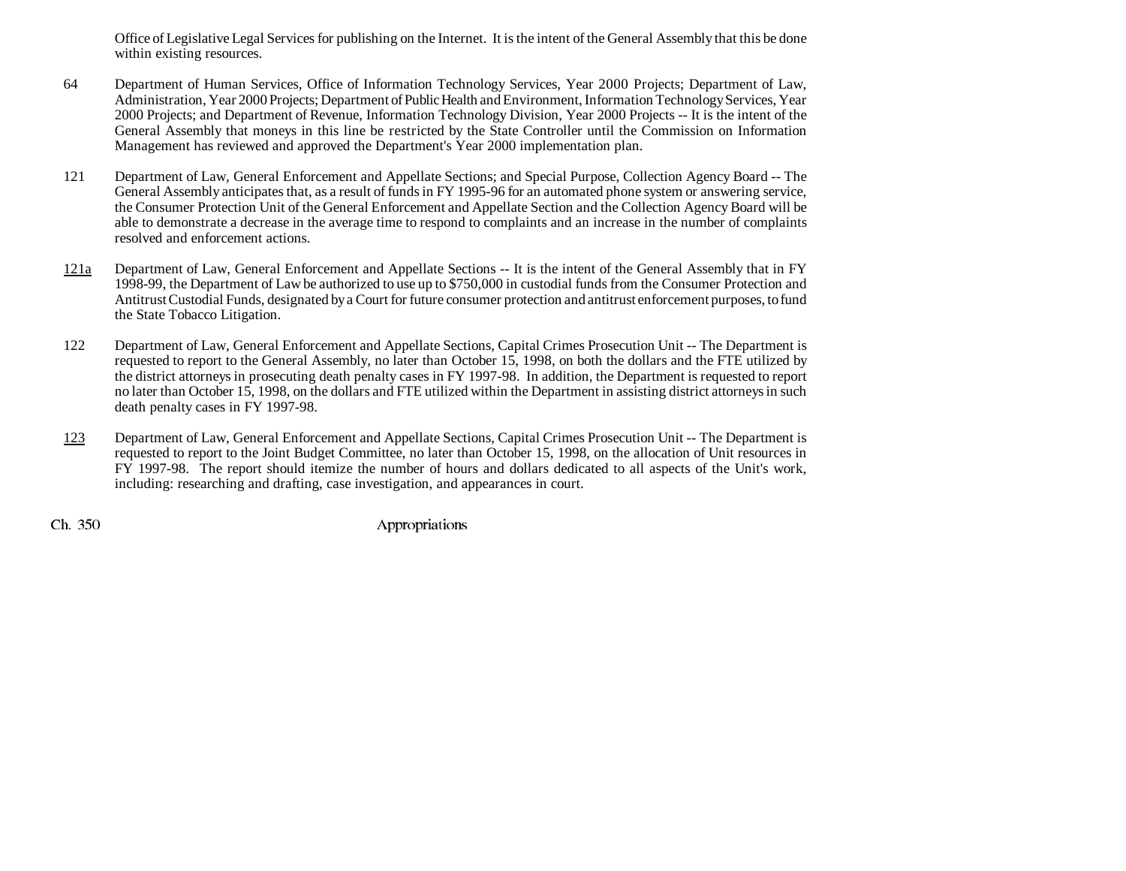Office of Legislative Legal Services for publishing on the Internet. It is the intent of the General Assembly that this be done within existing resources.

- 64 Department of Human Services, Office of Information Technology Services, Year 2000 Projects; Department of Law, Administration, Year 2000 Projects; Department of Public Health and Environment, Information Technology Services, Year 2000 Projects; and Department of Revenue, Information Technology Division, Year 2000 Projects -- It is the intent of the General Assembly that moneys in this line be restricted by the State Controller until the Commission on Information Management has reviewed and approved the Department's Year 2000 implementation plan.
- 121 Department of Law, General Enforcement and Appellate Sections; and Special Purpose, Collection Agency Board -- The General Assembly anticipates that, as a result of funds in FY 1995-96 for an automated phone system or answering service, the Consumer Protection Unit of the General Enforcement and Appellate Section and the Collection Agency Board will be able to demonstrate a decrease in the average time to respond to complaints and an increase in the number of complaints resolved and enforcement actions.
- 121a Department of Law, General Enforcement and Appellate Sections -- It is the intent of the General Assembly that in FY 1998-99, the Department of Law be authorized to use up to \$750,000 in custodial funds from the Consumer Protection and Antitrust Custodial Funds, designated by a Court for future consumer protection and antitrust enforcement purposes, to fund the State Tobacco Litigation.
- 122 Department of Law, General Enforcement and Appellate Sections, Capital Crimes Prosecution Unit -- The Department is requested to report to the General Assembly, no later than October 15, 1998, on both the dollars and the FTE utilized by the district attorneys in prosecuting death penalty cases in FY 1997-98. In addition, the Department is requested to report no later than October 15, 1998, on the dollars and FTE utilized within the Department in assisting district attorneys in such death penalty cases in FY 1997-98.
- 123 Department of Law, General Enforcement and Appellate Sections, Capital Crimes Prosecution Unit -- The Department is requested to report to the Joint Budget Committee, no later than October 15, 1998, on the allocation of Unit resources in FY 1997-98. The report should itemize the number of hours and dollars dedicated to all aspects of the Unit's work, including: researching and drafting, case investigation, and appearances in court.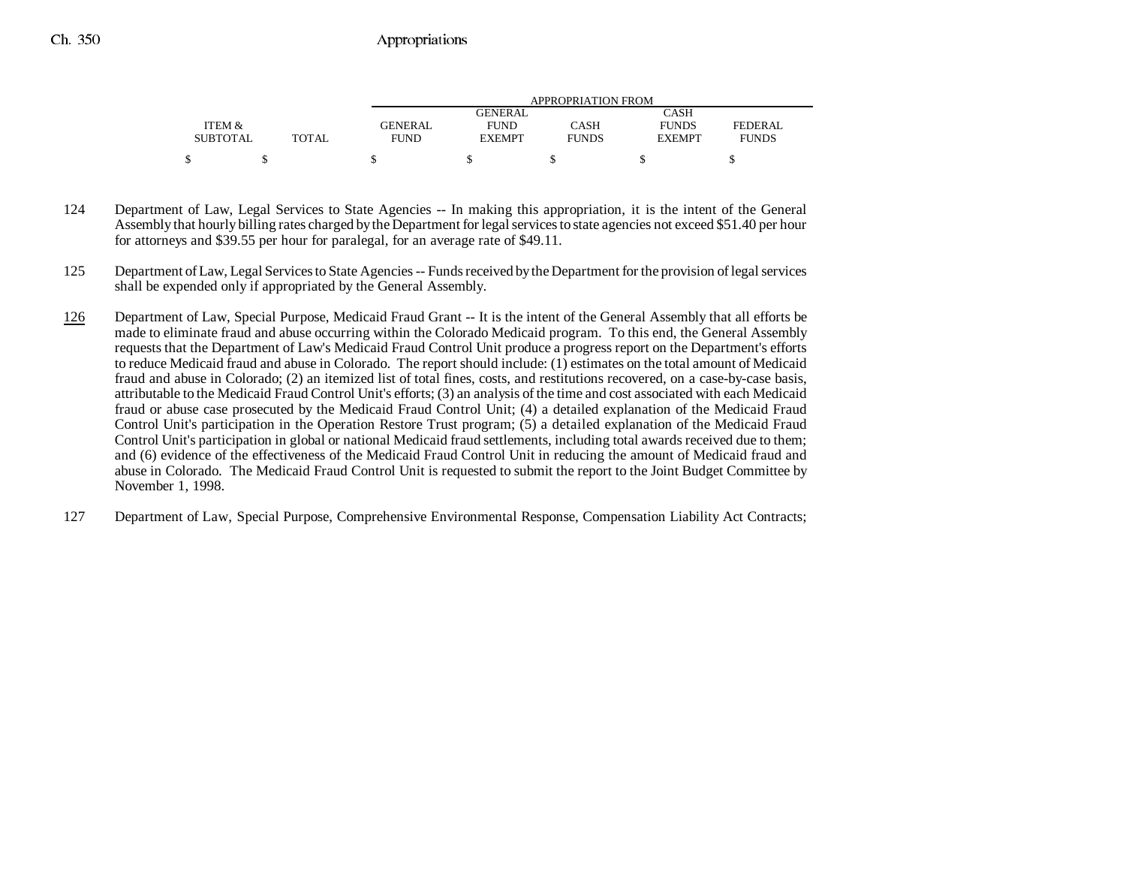|                 |              |             | APPROPRIATION FROM |              |               |              |  |  |  |  |
|-----------------|--------------|-------------|--------------------|--------------|---------------|--------------|--|--|--|--|
|                 |              |             | GENERAL            |              | CASH          |              |  |  |  |  |
| ITEM &          |              | GENERAL     | <b>FUND</b>        | CASH         | <b>FUNDS</b>  | FEDERAL      |  |  |  |  |
| <b>SUBTOTAL</b> | <b>TOTAL</b> | <b>FUND</b> | <b>EXEMPT</b>      | <b>FUNDS</b> | <b>EXEMPT</b> | <b>FUNDS</b> |  |  |  |  |
|                 |              |             |                    |              |               |              |  |  |  |  |

- 124 Department of Law, Legal Services to State Agencies -- In making this appropriation, it is the intent of the General Assembly that hourly billing rates charged by the Department for legal services to state agencies not exceed \$51.40 per hour for attorneys and \$39.55 per hour for paralegal, for an average rate of \$49.11.
- 125 Department of Law, Legal Services to State Agencies -- Funds received by the Department for the provision of legal services shall be expended only if appropriated by the General Assembly.
- 126 Department of Law, Special Purpose, Medicaid Fraud Grant -- It is the intent of the General Assembly that all efforts be made to eliminate fraud and abuse occurring within the Colorado Medicaid program. To this end, the General Assembly requests that the Department of Law's Medicaid Fraud Control Unit produce a progress report on the Department's efforts to reduce Medicaid fraud and abuse in Colorado. The report should include: (1) estimates on the total amount of Medicaid fraud and abuse in Colorado; (2) an itemized list of total fines, costs, and restitutions recovered, on a case-by-case basis, attributable to the Medicaid Fraud Control Unit's efforts; (3) an analysis of the time and cost associated with each Medicaid fraud or abuse case prosecuted by the Medicaid Fraud Control Unit; (4) a detailed explanation of the Medicaid Fraud Control Unit's participation in the Operation Restore Trust program; (5) a detailed explanation of the Medicaid Fraud Control Unit's participation in global or national Medicaid fraud settlements, including total awards received due to them; and (6) evidence of the effectiveness of the Medicaid Fraud Control Unit in reducing the amount of Medicaid fraud and abuse in Colorado. The Medicaid Fraud Control Unit is requested to submit the report to the Joint Budget Committee by November 1, 1998.
- 127 Department of Law, Special Purpose, Comprehensive Environmental Response, Compensation Liability Act Contracts;